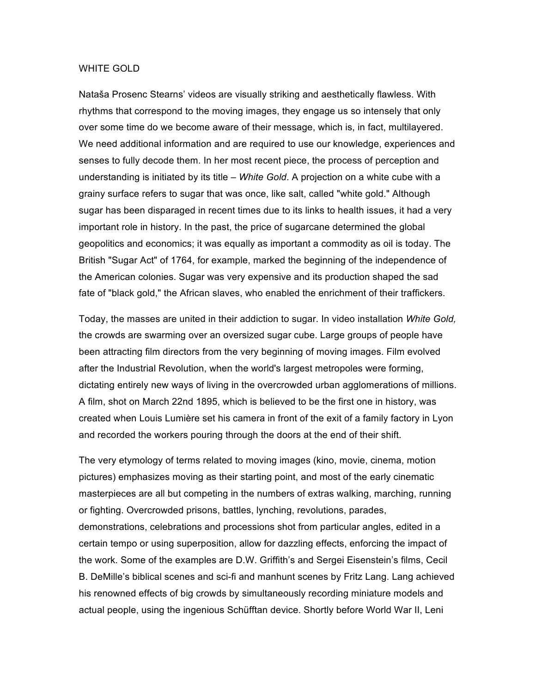## WHITE GOLD

Nataša Prosenc Stearns' videos are visually striking and aesthetically flawless. With rhythms that correspond to the moving images, they engage us so intensely that only over some time do we become aware of their message, which is, in fact, multilayered. We need additional information and are required to use our knowledge, experiences and senses to fully decode them. In her most recent piece, the process of perception and understanding is initiated by its title – *White Gold*. A projection on a white cube with a grainy surface refers to sugar that was once, like salt, called "white gold." Although sugar has been disparaged in recent times due to its links to health issues, it had a very important role in history. In the past, the price of sugarcane determined the global geopolitics and economics; it was equally as important a commodity as oil is today. The British "Sugar Act" of 1764, for example, marked the beginning of the independence of the American colonies. Sugar was very expensive and its production shaped the sad fate of "black gold," the African slaves, who enabled the enrichment of their traffickers.

Today, the masses are united in their addiction to sugar. In video installation *White Gold,* the crowds are swarming over an oversized sugar cube. Large groups of people have been attracting film directors from the very beginning of moving images. Film evolved after the Industrial Revolution, when the world's largest metropoles were forming, dictating entirely new ways of living in the overcrowded urban agglomerations of millions. A film, shot on March 22nd 1895, which is believed to be the first one in history, was created when Louis Lumière set his camera in front of the exit of a family factory in Lyon and recorded the workers pouring through the doors at the end of their shift.

The very etymology of terms related to moving images (kino, movie, cinema, motion pictures) emphasizes moving as their starting point, and most of the early cinematic masterpieces are all but competing in the numbers of extras walking, marching, running or fighting. Overcrowded prisons, battles, lynching, revolutions, parades, demonstrations, celebrations and processions shot from particular angles, edited in a certain tempo or using superposition, allow for dazzling effects, enforcing the impact of the work. Some of the examples are D.W. Griffith's and Sergei Eisenstein's films, Cecil B. DeMille's biblical scenes and sci-fi and manhunt scenes by Fritz Lang. Lang achieved his renowned effects of big crowds by simultaneously recording miniature models and actual people, using the ingenious Schüfftan device. Shortly before World War II, Leni